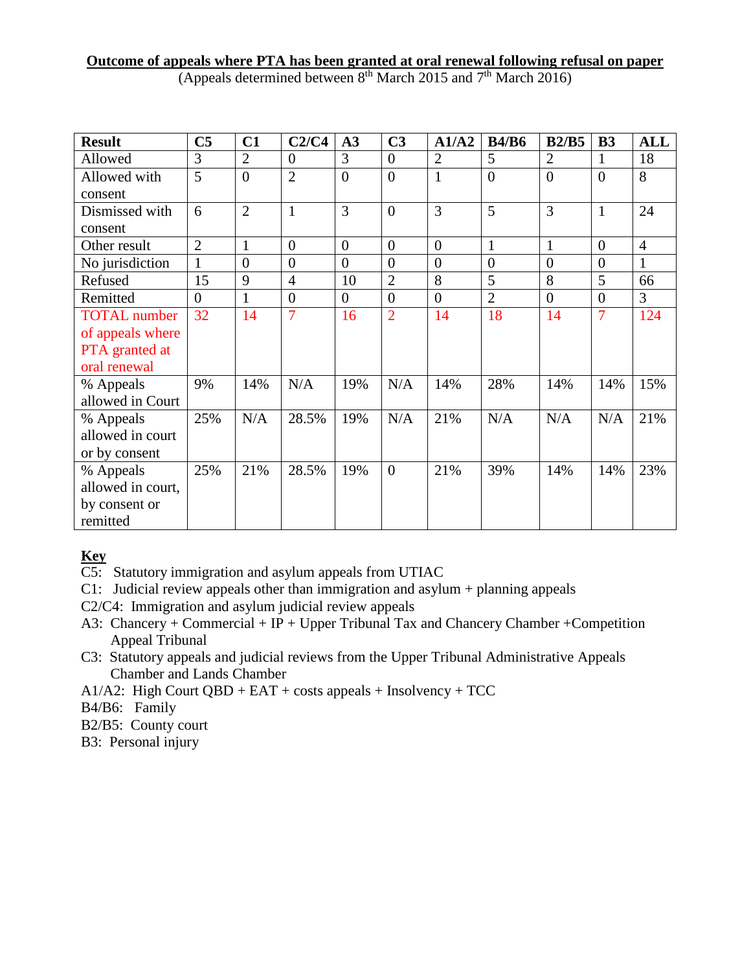## **Outcome of appeals where PTA has been granted at oral renewal following refusal on paper** (Appeals determined between  $8<sup>th</sup>$  March 2015 and  $7<sup>th</sup>$  March 2016)

| <b>Result</b>       | C <sub>5</sub> | C1             | C2/C4          | A3             | C <sub>3</sub> | A1/A2          | <b>B4/B6</b>   | B2/B5          | <b>B3</b>      | <b>ALL</b>     |
|---------------------|----------------|----------------|----------------|----------------|----------------|----------------|----------------|----------------|----------------|----------------|
| Allowed             | 3              | $\overline{2}$ | $\overline{0}$ | 3              | $\overline{0}$ | $\overline{2}$ | 5              | $\overline{2}$ |                | 18             |
| Allowed with        | 5              | $\overline{0}$ | $\overline{2}$ | $\overline{0}$ | $\overline{0}$ | $\mathbf{1}$   | $\overline{0}$ | $\overline{0}$ | $\overline{0}$ | 8              |
| consent             |                |                |                |                |                |                |                |                |                |                |
| Dismissed with      | 6              | $\overline{2}$ | $\mathbf{1}$   | $\overline{3}$ | $\overline{0}$ | 3              | 5              | 3              | $\mathbf{1}$   | 24             |
| consent             |                |                |                |                |                |                |                |                |                |                |
| Other result        | $\overline{2}$ | $\mathbf{1}$   | $\overline{0}$ | $\overline{0}$ | $\overline{0}$ | $\overline{0}$ | $\mathbf{1}$   | $\mathbf{1}$   | $\overline{0}$ | $\overline{4}$ |
| No jurisdiction     | $\mathbf{1}$   | $\overline{0}$ | $\overline{0}$ | $\overline{0}$ | $\overline{0}$ | $\overline{0}$ | $\overline{0}$ | $\overline{0}$ | $\overline{0}$ | $\mathbf{1}$   |
| Refused             | 15             | 9              | $\overline{4}$ | 10             | $\overline{2}$ | 8              | 5              | 8              | 5              | 66             |
| Remitted            | $\overline{0}$ | 1              | $\overline{0}$ | $\overline{0}$ | $\overline{0}$ | $\overline{0}$ | $\overline{2}$ | $\overline{0}$ | $\overline{0}$ | 3              |
| <b>TOTAL</b> number | 32             | 14             | 7              | 16             | $\overline{2}$ | 14             | 18             | 14             | 7              | 124            |
| of appeals where    |                |                |                |                |                |                |                |                |                |                |
| PTA granted at      |                |                |                |                |                |                |                |                |                |                |
| oral renewal        |                |                |                |                |                |                |                |                |                |                |
| % Appeals           | 9%             | 14%            | N/A            | 19%            | N/A            | 14%            | 28%            | 14%            | 14%            | 15%            |
| allowed in Court    |                |                |                |                |                |                |                |                |                |                |
| % Appeals           | 25%            | N/A            | 28.5%          | 19%            | N/A            | 21%            | N/A            | N/A            | N/A            | 21%            |
| allowed in court    |                |                |                |                |                |                |                |                |                |                |
| or by consent       |                |                |                |                |                |                |                |                |                |                |
| % Appeals           | 25%            | 21%            | 28.5%          | 19%            | $\overline{0}$ | 21%            | 39%            | 14%            | 14%            | 23%            |
| allowed in court,   |                |                |                |                |                |                |                |                |                |                |
| by consent or       |                |                |                |                |                |                |                |                |                |                |
| remitted            |                |                |                |                |                |                |                |                |                |                |

## **Key**

C5: Statutory immigration and asylum appeals from UTIAC

- C1: Judicial review appeals other than immigration and asylum + planning appeals
- C2/C4: Immigration and asylum judicial review appeals
- A3: Chancery + Commercial + IP + Upper Tribunal Tax and Chancery Chamber + Competition Appeal Tribunal
- C3: Statutory appeals and judicial reviews from the Upper Tribunal Administrative Appeals Chamber and Lands Chamber
- A1/A2: High Court QBD + EAT + costs appeals + Insolvency + TCC

B4/B6: Family

B2/B5: County court

B3: Personal injury